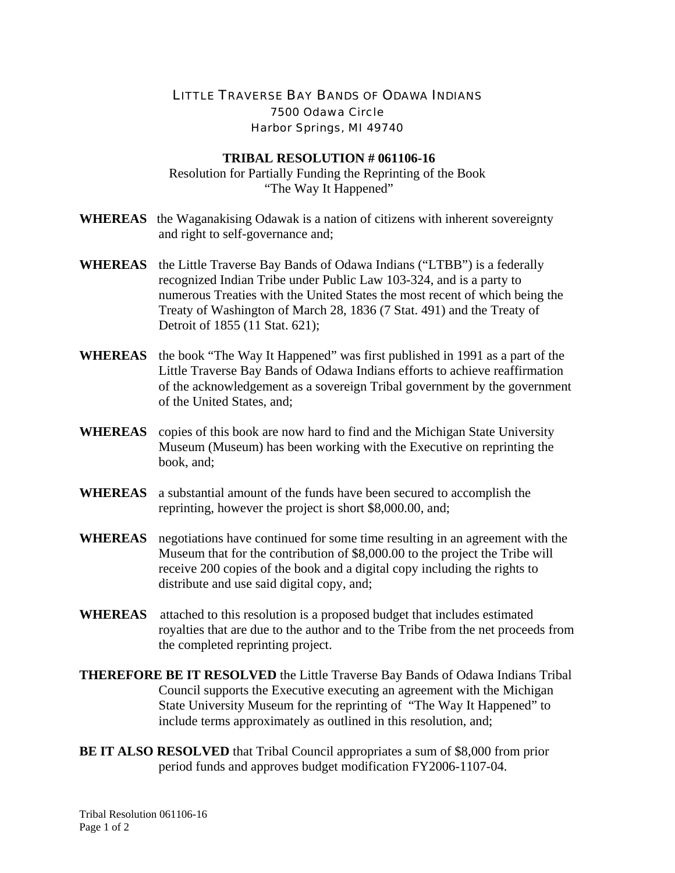## LITTLE TRAVERSE BAY BANDS OF ODAWA INDIANS 7500 Odawa Circle Harbor Springs, MI 49740

## **TRIBAL RESOLUTION # 061106-16**

Resolution for Partially Funding the Reprinting of the Book "The Way It Happened"

- **WHEREAS** the Waganakising Odawak is a nation of citizens with inherent sovereignty and right to self-governance and;
- **WHEREAS** the Little Traverse Bay Bands of Odawa Indians ("LTBB") is a federally recognized Indian Tribe under Public Law 103-324, and is a party to numerous Treaties with the United States the most recent of which being the Treaty of Washington of March 28, 1836 (7 Stat. 491) and the Treaty of Detroit of 1855 (11 Stat. 621);
- **WHEREAS** the book "The Way It Happened" was first published in 1991 as a part of the Little Traverse Bay Bands of Odawa Indians efforts to achieve reaffirmation of the acknowledgement as a sovereign Tribal government by the government of the United States, and;
- **WHEREAS** copies of this book are now hard to find and the Michigan State University Museum (Museum) has been working with the Executive on reprinting the book, and;
- **WHEREAS** a substantial amount of the funds have been secured to accomplish the reprinting, however the project is short \$8,000.00, and;
- **WHEREAS** negotiations have continued for some time resulting in an agreement with the Museum that for the contribution of \$8,000.00 to the project the Tribe will receive 200 copies of the book and a digital copy including the rights to distribute and use said digital copy, and;
- **WHEREAS** attached to this resolution is a proposed budget that includes estimated royalties that are due to the author and to the Tribe from the net proceeds from the completed reprinting project.
- **THEREFORE BE IT RESOLVED** the Little Traverse Bay Bands of Odawa Indians Tribal Council supports the Executive executing an agreement with the Michigan State University Museum for the reprinting of "The Way It Happened" to include terms approximately as outlined in this resolution, and;
- **BE IT ALSO RESOLVED** that Tribal Council appropriates a sum of \$8,000 from prior period funds and approves budget modification FY2006-1107-04.